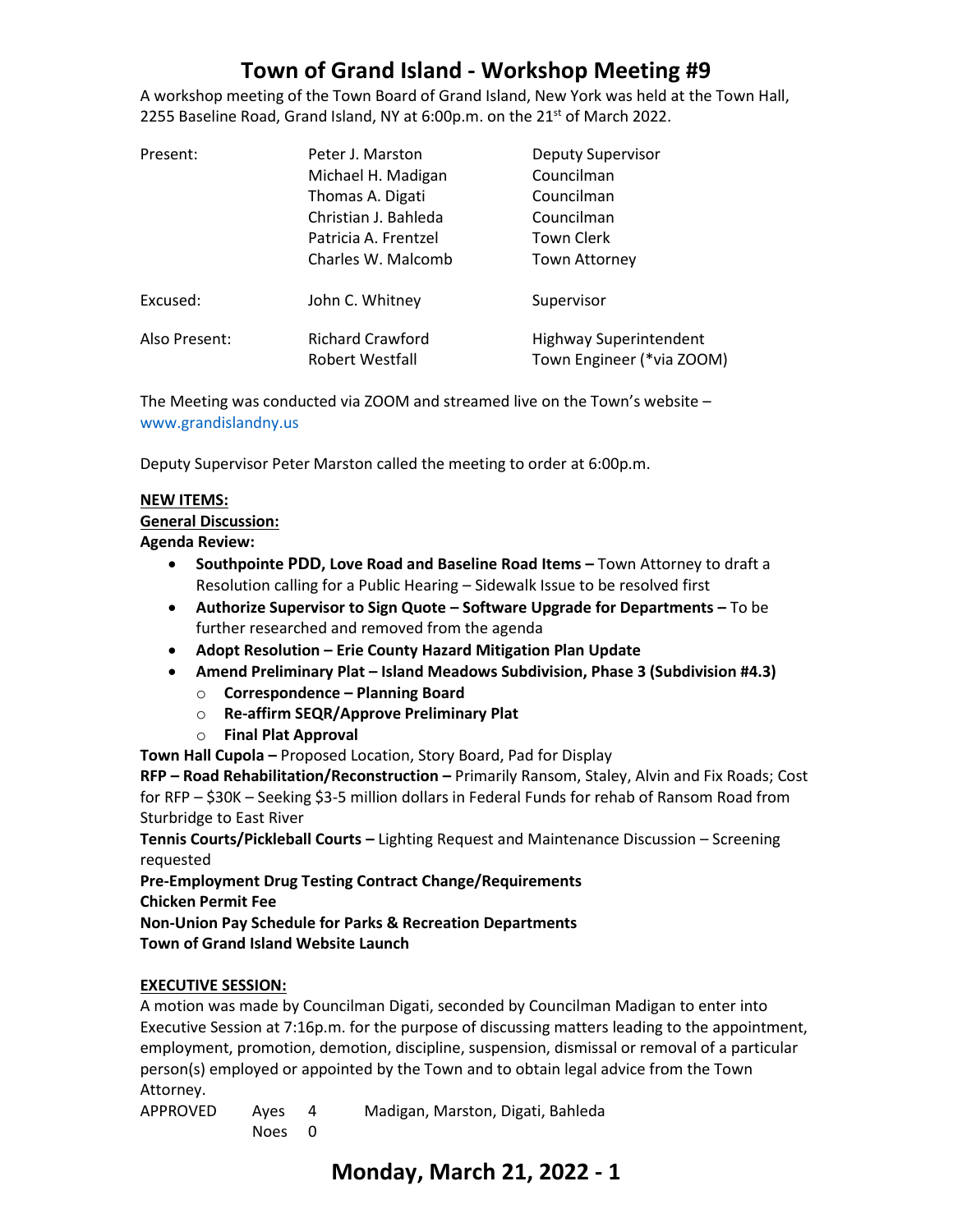# **Town of Grand Island - Workshop Meeting #9**

A workshop meeting of the Town Board of Grand Island, New York was held at the Town Hall, 2255 Baseline Road, Grand Island, NY at 6:00p.m. on the 21<sup>st</sup> of March 2022.

| Present:      | Peter J. Marston                           | <b>Deputy Supervisor</b>                                   |
|---------------|--------------------------------------------|------------------------------------------------------------|
|               | Michael H. Madigan                         | Councilman                                                 |
|               | Thomas A. Digati                           | Councilman                                                 |
|               | Christian J. Bahleda                       | Councilman                                                 |
|               | Patricia A. Frentzel                       | Town Clerk                                                 |
|               | Charles W. Malcomb                         | <b>Town Attorney</b>                                       |
| Excused:      | John C. Whitney                            | Supervisor                                                 |
| Also Present: | <b>Richard Crawford</b><br>Robert Westfall | <b>Highway Superintendent</b><br>Town Engineer (*via ZOOM) |

The Meeting was conducted via ZOOM and streamed live on the Town's website – [www.grandislandny.us](http://www.grandislandny.us/)

Deputy Supervisor Peter Marston called the meeting to order at 6:00p.m.

#### **NEW ITEMS:**

#### **General Discussion:**

#### **Agenda Review:**

- **Southpointe PDD, Love Road and Baseline Road Items –** Town Attorney to draft a Resolution calling for a Public Hearing – Sidewalk Issue to be resolved first
- **Authorize Supervisor to Sign Quote – Software Upgrade for Departments –** To be further researched and removed from the agenda
- **Adopt Resolution – Erie County Hazard Mitigation Plan Update**
- **Amend Preliminary Plat – Island Meadows Subdivision, Phase 3 (Subdivision #4.3)**
	- o **Correspondence – Planning Board**
	- o **Re-affirm SEQR/Approve Preliminary Plat**
	- o **Final Plat Approval**

**Town Hall Cupola –** Proposed Location, Story Board, Pad for Display

**RFP – Road Rehabilitation/Reconstruction –** Primarily Ransom, Staley, Alvin and Fix Roads; Cost for RFP – \$30K – Seeking \$3-5 million dollars in Federal Funds for rehab of Ransom Road from Sturbridge to East River

**Tennis Courts/Pickleball Courts –** Lighting Request and Maintenance Discussion – Screening requested

**Pre-Employment Drug Testing Contract Change/Requirements Chicken Permit Fee**

**Non-Union Pay Schedule for Parks & Recreation Departments Town of Grand Island Website Launch**

#### **EXECUTIVE SESSION:**

A motion was made by Councilman Digati, seconded by Councilman Madigan to enter into Executive Session at 7:16p.m. for the purpose of discussing matters leading to the appointment, employment, promotion, demotion, discipline, suspension, dismissal or removal of a particular person(s) employed or appointed by the Town and to obtain legal advice from the Town Attorney.

APPROVED Ayes 4 Madigan, Marston, Digati, Bahleda Noes 0

### **Monday, March 21, 2022 - 1**